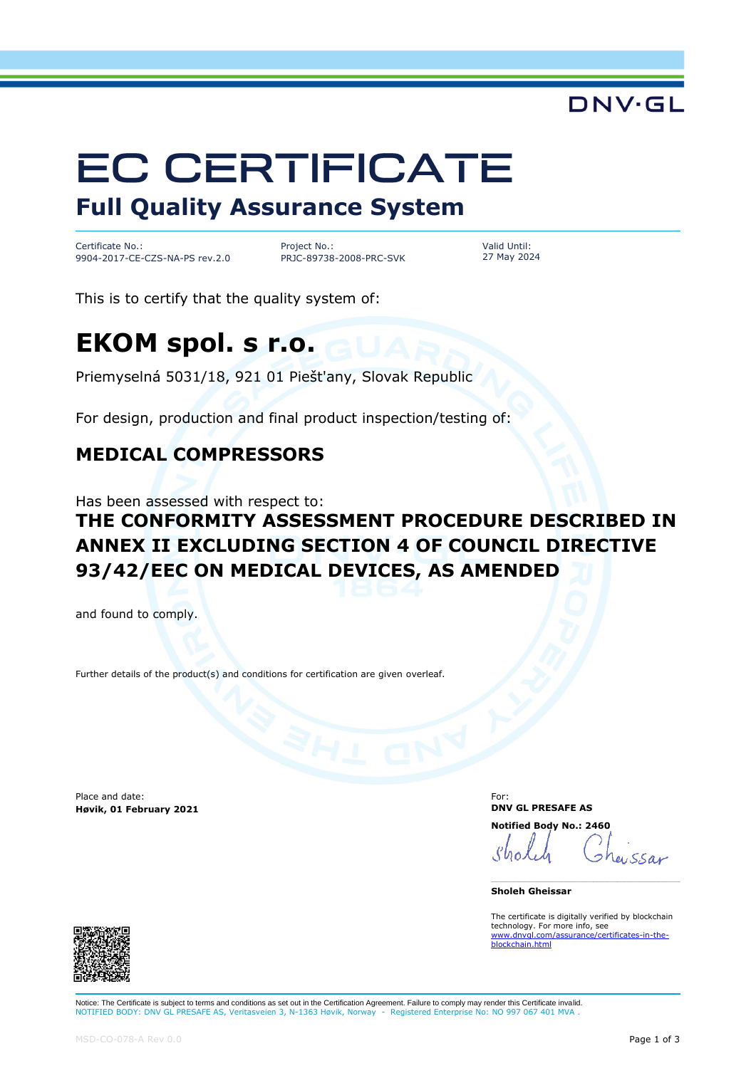# DNV·GL

# **EC CERTIFICATE Full Quality Assurance System**

Certificate No.: 9904-2017-CE-CZS-NA-PS rev.2.0

Project No.: PRJC-89738-2008-PRC-SVK Valid Until: 27 May 2024

This is to certify that the quality system of:

# **EKOM spol. s r.o.**

Priemyselná 5031/18, 921 01 Piešt'any, Slovak Republic

For design, production and final product inspection/testing of:

### **MEDICAL COMPRESSORS**

Has been assessed with respect to:

## **THE CONFORMITY ASSESSMENT PROCEDURE DESCRIBED IN ANNEX II EXCLUDING SECTION 4 OF COUNCIL DIRECTIVE 93/42/EEC ON MEDICAL DEVICES, AS AMENDED**

and found to comply.

Further details of the product(s) and conditions for certification are given overleaf.

Place and date: **Høvik, 01 February 2021** For: **DNV GL PRESAFE AS Notified Body No.: 2460**

 $1.550$ 

**Sholeh Gheissar**

The certificate is digitally verified by blockchain technology. For more info, see [www.dnvgl.com/assurance/certificates-in-the](https://www.dnvgl.com/assurance/certificates-in-the-blockchain.html)chain html



Notice: The Certificate is subject to terms and conditions as set out in the Certification Agreement. Failure to comply may render this Certificate invalid. NOTIFIED BODY: DNV GL PRESAFE AS, Veritasveien 3, N-1363 Høvik, Norway - Registered Enterprise No: NO 997 067 401 MV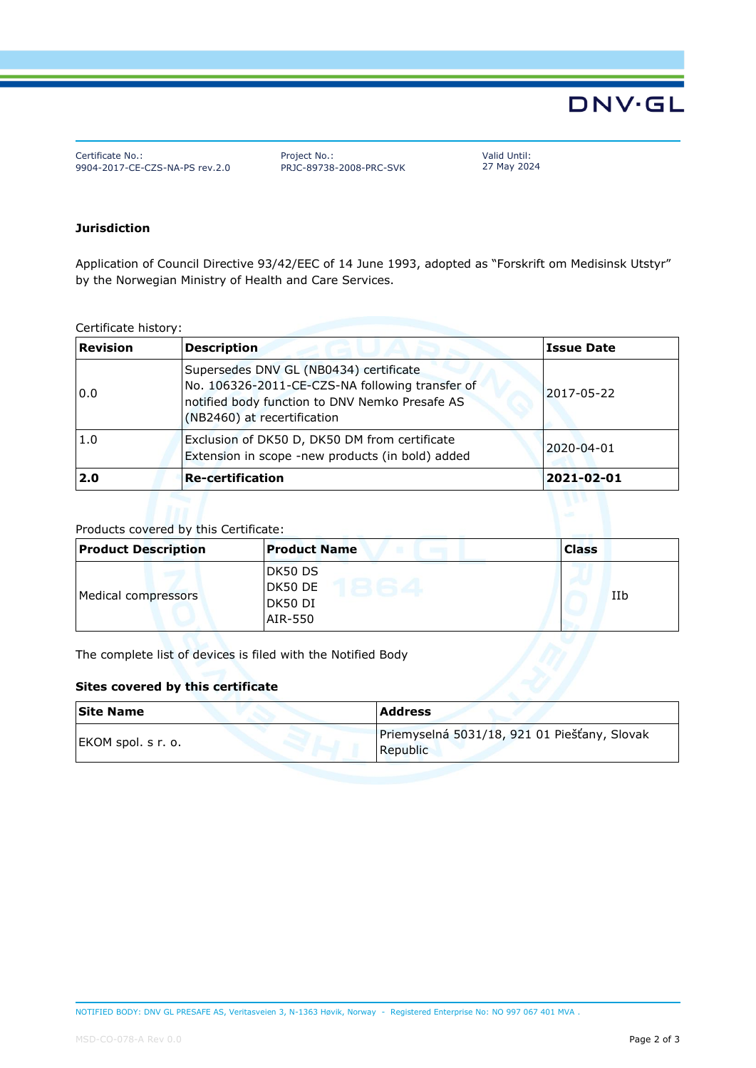# **DNV·GL**

Certificate No.: 9904-2017-CE-CZS-NA-PS rev.2.0 Project No.: PRJC-89738-2008-PRC-SVK Valid Until: 27 May 2024

#### **Jurisdiction**

Application of Council Directive 93/42/EEC of 14 June 1993, adopted as "Forskrift om Medisinsk Utstyr" by the Norwegian Ministry of Health and Care Services.

Certificate history:

| <b>Revision</b> | <b>Description</b>                                                                                                                                                         | <b>Issue Date</b> |
|-----------------|----------------------------------------------------------------------------------------------------------------------------------------------------------------------------|-------------------|
| 0.0             | Supersedes DNV GL (NB0434) certificate<br>No. 106326-2011-CE-CZS-NA following transfer of<br>notified body function to DNV Nemko Presafe AS<br>(NB2460) at recertification | 2017-05-22        |
| 1.0             | Exclusion of DK50 D, DK50 DM from certificate<br>2020-04-01<br>Extension in scope -new products (in bold) added                                                            |                   |
| 2.0             | <b>Re-certification</b>                                                                                                                                                    | 2021-02-01        |

#### Products covered by this Certificate:

| <b>Product Description</b> | <b>Product Name</b><br>$132 - 11$        | <b>Class</b> |
|----------------------------|------------------------------------------|--------------|
| Medical compressors        | DK50 DS<br>DK50 DE<br>DK50 DI<br>AIR-550 | IIb          |

The complete list of devices is filed with the Notified Body

#### **Sites covered by this certificate**

| <b>Site Name</b>   | <b>Address</b>                                                  |
|--------------------|-----------------------------------------------------------------|
| EKOM spol. s r. o. | Priemyselná 5031/18, 921 01 Piešťany, Slovak<br><b>Republic</b> |